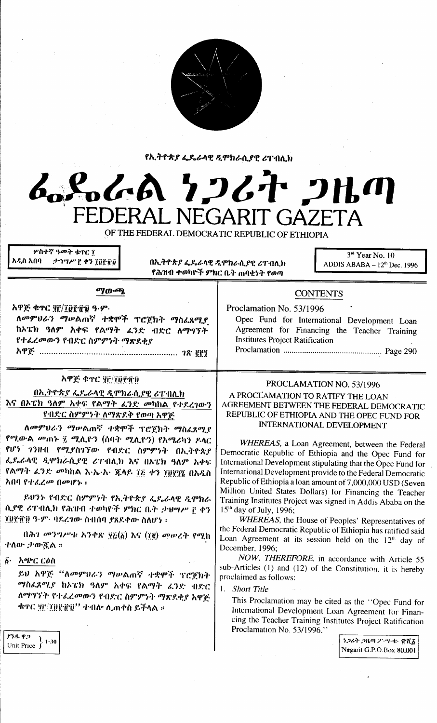

የኢትዮጵያ ፌዴራላዊ ዲሞክራሲያዊ ሪፐብሊክ

# 。んぬ ケンムヤ クルの **ERAI NEGARIT GAZETA**

OF THE FEDERAL DEMOCRATIC REPUBLIC OF ETHIOPIA

<sub>ምስተኛ ዓመት ቁዋር ገ</sub> አዲስ አበባ — *ታኅሣሥ* ፫ ቀን ፲፬፻፹፬

በኢትዮጵያ ፌዴራላዊ ዲሞክራሲያዊ ሪፐብሊክ የሕዝብ ተወካዮች ምክር ቤት ጠባቂነት የወጣ

 $3<sup>rd</sup>$  Year No. 10 ADDIS ABABA -  $12<sup>th</sup>$  Dec. 1996

#### ማውጫ

አዋጅ ቁጥር ያሮ/፲፱፻፹፱ ዓ.ም. ለመምህራን ማሥልጠኛ ተቋሞች ፕሮጀክት ማስፈጸሚያ ከኦፔክ ዓለም አቀፍ የልማት ፈንድ ብድር ለማግኘት የተፈረመውን የብድር ስምምነት ማጽደቂያ 

#### አዋጅ ቁዋር ም/መየዋዕ

በኢትዮጵያ ፌዴራላዊ ዲሞክራሲያዊ ሪፐ፡በሊክ <u>እና በኦፔክ ዓለም አቀፍ የልማት ፊንድ መካከል የተደረገውን</u> የብድር ስምምንት ለማጽደቅ የወጣ አዋጅ

ለመምህራን ማሠልጠኛ ተቋሞች ፕሮጀክት ማስፈጸሚያ

የሚውል *መ*ጠኑ ፺ ሚሊዮን (ሰባት ሚሊዮን) የአሜሪካን ዶላር የሆን ገንዙብ የሚያስገኘው የብድር ስምምነት በኢትዮጵያ ፌዴራላዊ ዲሞክራሲያዊ ሪፐብሲክ እና በኦፔክ ዓለም አቀፍ የልማት *ሬንድ መካ*ከል እ<sub>ን</sub>ኤ·አ· ጁላይ ፲፭ ቀን ፲፱፻፺፮ በአዲስ አበባ የተፈረመ በመሆኑ ፡

ይህንኑ የብድር ስምምነት የኢትዮጵያ ፌዴራላዊ ዲሞክራ ሲያዊ ሪፐብሊክ የሕዝብ ተወካዮች ምክር ቤት ታህሣሥ ፫ ቀን ፲፱፻፹፱ ዓ·ም· ባደረገው ስብሰባ ያጸደቀው ስለሆነ ፡

በሕገ መንግሥቱ አንቀጽ ፶፩(፩) እና (፲፪) መሠረት የሚከ ተለው ታውዷል ።

፩• አጭር ርዕስ

ይህ አዋጅ "ለመምህራን ማሠልጠኛ ተቋሞች ፕሮጀክት ማስፈጸሚያ ከኦፔክ ዓለም አቀፍ የልማት ፈንድ ብድር ለማግኘት የተፈረመውን የብድር ስምምነት ማጽደቂያ አዋጅ ቁዋር ቜይፒ፱፻፹፱'' ተብሎ ሊጠቀስ ይችላል ።

## ያንዱ ዋጋ  $\frac{\text{P3}}{\text{Unit Price}} \left\} 1.30 \right.$

| <b>CUNIENIS</b>                                                                                                                        |
|----------------------------------------------------------------------------------------------------------------------------------------|
| Proclamation No. 53/1996                                                                                                               |
| Opec Fund for International Development Loan<br>Agreement for Financing the Teacher Training<br><b>Institutes Project Ratification</b> |
|                                                                                                                                        |

 $C\Omega$  in the line

## PROCLAMATION NO. 53/1996

#### A PROCLAMATION TO RATIFY THE LOAN AGREEMENT BETWEEN THE FEDERAL DEMOCRATIC REPUBLIC OF ETHIOPIA AND THE OPEC FUND FOR **INTERNATIONAL DEVELOPMENT**

WHEREAS, a Loan Agreement, between the Federal Democratic Republic of Ethiopia and the Opec Fund for International Development stipulating that the Opec Fund for International Development provide to the Federal Democratic Republic of Ethiopia a loan amount of 7,000,000 USD (Seven Million United States Dollars) for Financing the Teacher Training Institutes Project was signed in Addis Ababa on the 15<sup>th</sup> day of July, 1996;

WHEREAS, the House of Peoples' Representatives of the Federal Democratic Republic of Ethiopia has ratified said Loan Agreement at its session held on the 12<sup>th</sup> day of December, 1996:

NOW, THEREFORE, in accordance with Article 55 sub-Articles (1) and (12) of the Constitution, it is hereby proclaimed as follows:

1. Short Title

This Proclamation may be cited as the "Opec Fund for International Development Loan Agreement for Financing the Teacher Training Institutes Project Ratification Proclamation No. 53/1996."

> うつるヤ つルの クシツ・ホー 重査る Negarit G.P.O.Box 80,001